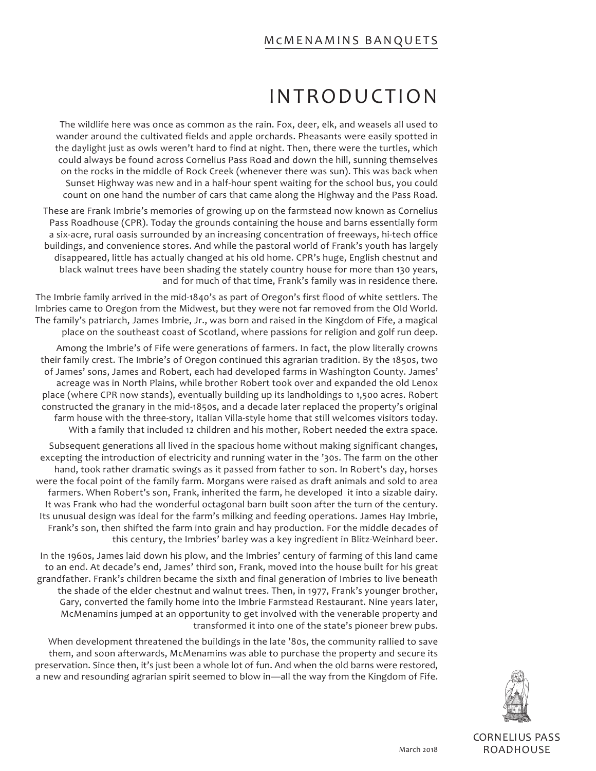### McMENAMINS BANQUETS

# INTRODUCTION

The wildlife here was once as common as the rain. Fox, deer, elk, and weasels all used to wander around the cultivated fields and apple orchards. Pheasants were easily spotted in the daylight just as owls weren't hard to find at night. Then, there were the turtles, which could always be found across Cornelius Pass Road and down the hill, sunning themselves on the rocks in the middle of Rock Creek (whenever there was sun). This was back when Sunset Highway was new and in a half-hour spent waiting for the school bus, you could count on one hand the number of cars that came along the Highway and the Pass Road.

These are Frank Imbrie's memories of growing up on the farmstead now known as Cornelius Pass Roadhouse (CPR). Today the grounds containing the house and barns essentially form a six-acre, rural oasis surrounded by an increasing concentration of freeways, hi-tech office buildings, and convenience stores. And while the pastoral world of Frank's youth has largely disappeared, little has actually changed at his old home. CPR's huge, English chestnut and black walnut trees have been shading the stately country house for more than 130 years, and for much of that time, Frank's family was in residence there.

The Imbrie family arrived in the mid-1840's as part of Oregon's first flood of white settlers. The Imbries came to Oregon from the Midwest, but they were not far removed from the Old World. The family's patriarch, James Imbrie, Jr., was born and raised in the Kingdom of Fife, a magical place on the southeast coast of Scotland, where passions for religion and golf run deep.

Among the Imbrie's of Fife were generations of farmers. In fact, the plow literally crowns their family crest. The Imbrie's of Oregon continued this agrarian tradition. By the 1850s, two of James' sons, James and Robert, each had developed farms in Washington County. James' acreage was in North Plains, while brother Robert took over and expanded the old Lenox place (where CPR now stands), eventually building up its landholdings to 1,500 acres. Robert constructed the granary in the mid-1850s, and a decade later replaced the property's original farm house with the three-story, Italian Villa-style home that still welcomes visitors today. With a family that included 12 children and his mother, Robert needed the extra space.

Subsequent generations all lived in the spacious home without making significant changes, excepting the introduction of electricity and running water in the '30s. The farm on the other hand, took rather dramatic swings as it passed from father to son. In Robert's day, horses were the focal point of the family farm. Morgans were raised as draft animals and sold to area farmers. When Robert's son, Frank, inherited the farm, he developed it into a sizable dairy. It was Frank who had the wonderful octagonal barn built soon after the turn of the century. Its unusual design was ideal for the farm's milking and feeding operations. James Hay Imbrie, Frank's son, then shifted the farm into grain and hay production. For the middle decades of this century, the Imbries' barley was a key ingredient in Blitz-Weinhard beer.

In the 1960s, James laid down his plow, and the Imbries' century of farming of this land came to an end. At decade's end, James' third son, Frank, moved into the house built for his great grandfather. Frank's children became the sixth and final generation of Imbries to live beneath the shade of the elder chestnut and walnut trees. Then, in 1977, Frank's younger brother, Gary, converted the family home into the Imbrie Farmstead Restaurant. Nine years later, McMenamins jumped at an opportunity to get involved with the venerable property and transformed it into one of the state's pioneer brew pubs.

When development threatened the buildings in the late '80s, the community rallied to save them, and soon afterwards, McMenamins was able to purchase the property and secure its preservation. Since then, it's just been a whole lot of fun. And when the old barns were restored, a new and resounding agrarian spirit seemed to blow in—all the way from the Kingdom of Fife.



CORNELIUS PASS ROADHOUSE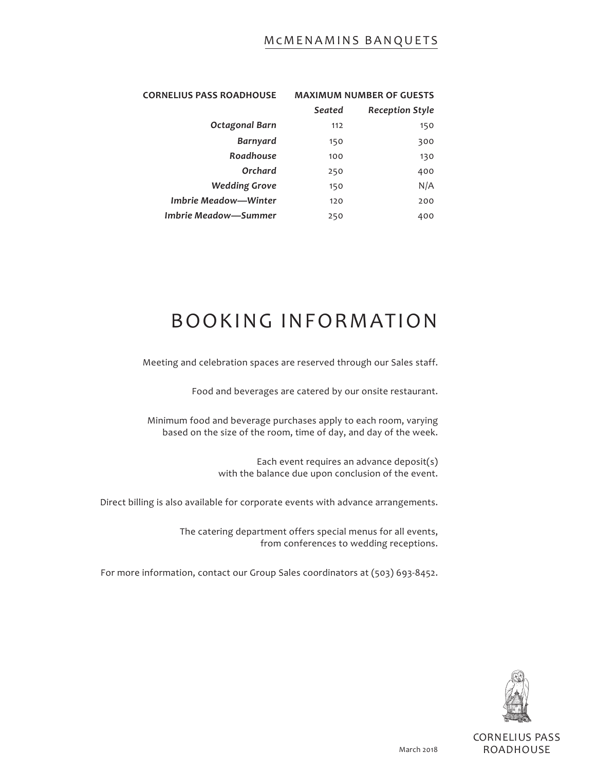### McMENAMINS BANQUETS

| <b>CORNELIUS PASS ROADHOUSE</b> | <b>MAXIMUM NUMBER OF GUESTS</b> |                        |
|---------------------------------|---------------------------------|------------------------|
|                                 | Seated                          | <b>Reception Style</b> |
| Octagonal Barn                  | 112                             | 150                    |
| <b>Barnyard</b>                 | 150                             | 300                    |
| Roadhouse                       | 100                             | 130                    |
| Orchard                         | 250                             | 400                    |
| <b>Wedding Grove</b>            | 150                             | N/A                    |
| <b>Imbrie Meadow—Winter</b>     | 120                             | 200                    |
| Imbrie Meadow-Summer            | 250                             | 400                    |

# BOOKING INFORMATION

Meeting and celebration spaces are reserved through our Sales staff.

Food and beverages are catered by our onsite restaurant.

Minimum food and beverage purchases apply to each room, varying based on the size of the room, time of day, and day of the week.

> Each event requires an advance deposit(s) with the balance due upon conclusion of the event.

Direct billing is also available for corporate events with advance arrangements.

The catering department offers special menus for all events, from conferences to wedding receptions.

For more information, contact our Group Sales coordinators at (503) 693-8452.



CORNELIUS PASS ROADHOUSE